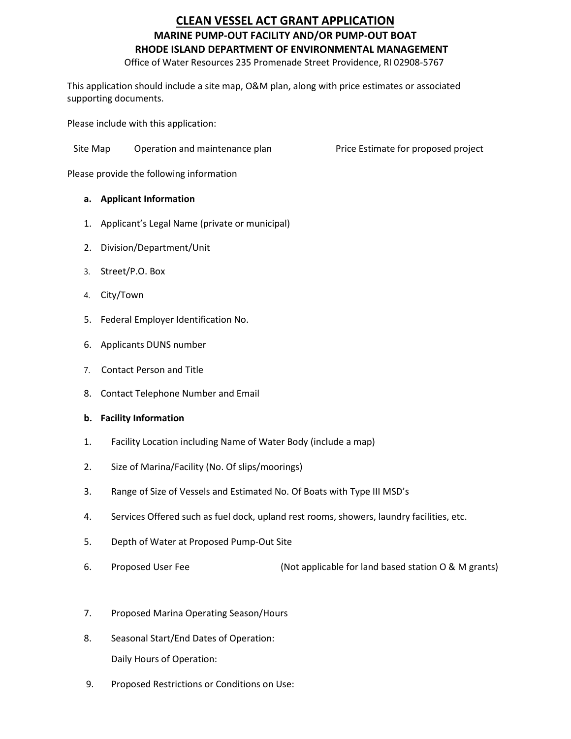## **CLEAN VESSEL ACT GRANT APPLICATION MARINE PUMP‐OUT FACILITY AND/OR PUMP‐OUT BOAT RHODE ISLAND DEPARTMENT OF ENVIRONMENTAL MANAGEMENT**

Office of Water Resources 235 Promenade Street Providence, RI 02908‐5767

This application should include a site map, O&M plan, along with price estimates or associated supporting documents.

Please include with this application:

Site Map Operation and maintenance plan Price Estimate for proposed project

Please provide the following information

#### **a. Applicant Information**

- 1. Applicant's Legal Name (private or municipal)
- 2. Division/Department/Unit
- 3. Street/P.O. Box
- 4. City/Town
- 5. Federal Employer Identification No.
- 6. Applicants DUNS number
- 7. Contact Person and Title
- 8. Contact Telephone Number and Email
- **b. Facility Information**
- 1. Facility Location including Name of Water Body (include a map)
- 2. Size of Marina/Facility (No. Of slips/moorings)
- 3. Range of Size of Vessels and Estimated No. Of Boats with Type III MSD's
- 4. Services Offered such as fuel dock, upland rest rooms, showers, laundry facilities, etc.
- 5. Depth of Water at Proposed Pump‐Out Site
- 6. Proposed User Fee (Not applicable for land based station O & M grants)
- 7. Proposed Marina Operating Season/Hours
- 8. Seasonal Start/End Dates of Operation: Daily Hours of Operation:
- 9. Proposed Restrictions or Conditions on Use: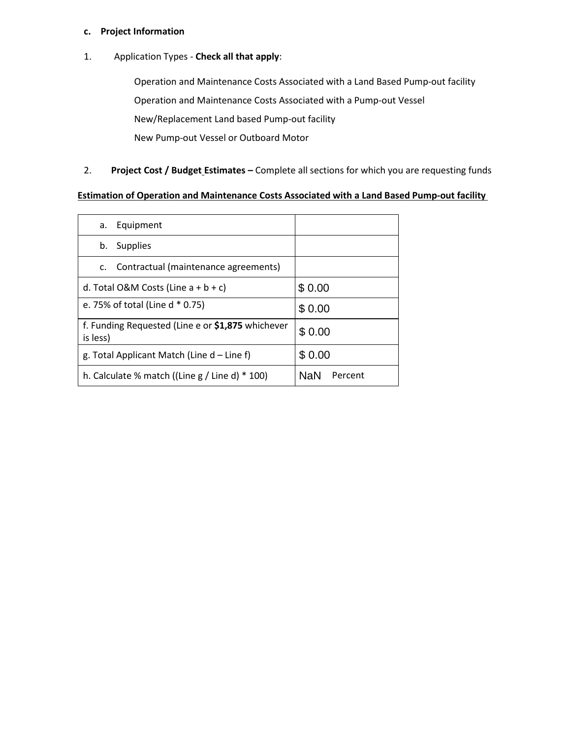### **c. Project Information**

1. Application Types ‐ **Check all that apply**:

Operation and Maintenance Costs Associated with a Land Based Pump-out facility Operation and Maintenance Costs Associated with a Pump‐out Vessel New/Replacement Land based Pump‐out facility New Pump-out Vessel or Outboard Motor

### 2. **Project Cost / Budget Estimates –** Complete all sections for which you are requesting funds

#### **Estimation of Operation and Maintenance Costs Associated with a Land Based Pump‐out facility**

| Equipment<br>a.                                               |                |  |
|---------------------------------------------------------------|----------------|--|
| <b>Supplies</b><br>b.                                         |                |  |
| Contractual (maintenance agreements)<br>C.                    |                |  |
| d. Total O&M Costs (Line $a + b + c$ )                        | \$0.00         |  |
| e. 75% of total (Line d * 0.75)                               | \$0.00         |  |
| f. Funding Requested (Line e or \$1,875 whichever<br>is less) | \$0.00         |  |
| g. Total Applicant Match (Line $d$ – Line f)                  | \$0.00         |  |
| h. Calculate % match ((Line $g /$ Line d) $*$ 100)            | NaN<br>Percent |  |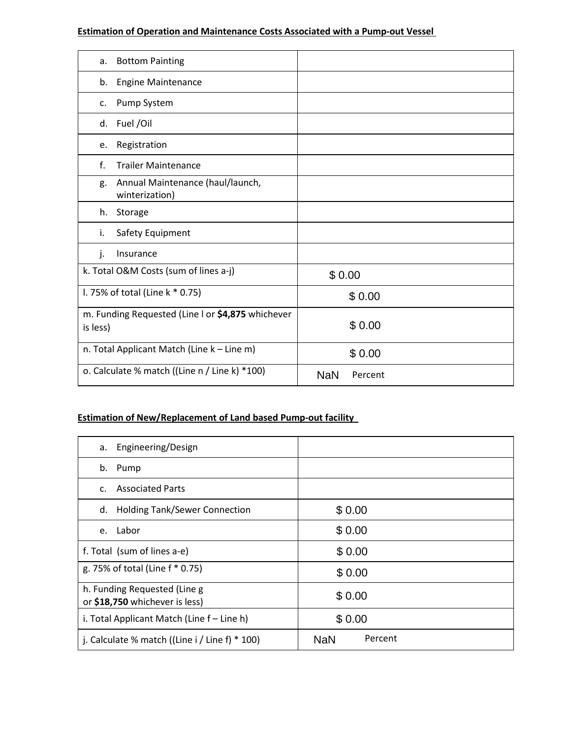### **Estimation of Operation and Maintenance Costs Associated with a Pump‐out Vessel**

| <b>Bottom Painting</b><br>a.                                  |                       |
|---------------------------------------------------------------|-----------------------|
| <b>Engine Maintenance</b><br>b.                               |                       |
| Pump System<br>c.                                             |                       |
| Fuel /Oil<br>d.                                               |                       |
| Registration<br>e.                                            |                       |
| f.<br><b>Trailer Maintenance</b>                              |                       |
| Annual Maintenance (haul/launch,<br>g.<br>winterization)      |                       |
| h.<br>Storage                                                 |                       |
| Safety Equipment<br>i.                                        |                       |
| Insurance<br>j.                                               |                       |
| k. Total O&M Costs (sum of lines a-j)                         | \$0.00                |
| I. 75% of total (Line k * 0.75)                               | \$0.00                |
| m. Funding Requested (Line I or \$4,875 whichever<br>is less) | \$0.00                |
| n. Total Applicant Match (Line k - Line m)                    | \$0.00                |
| o. Calculate % match ((Line n / Line k) *100)                 | <b>NaN</b><br>Percent |

# **Estimation of New/Replacement of Land based Pump‐out facility**

| $\sigma$ . Calculate % match ((Line n $\mu$ Line K) $\sigma$ 100)    | <b>NaN</b><br>Percent |  |  |  |
|----------------------------------------------------------------------|-----------------------|--|--|--|
| <b>Estimation of New/Replacement of Land based Pump-out facility</b> |                       |  |  |  |
| Engineering/Design<br>a.                                             |                       |  |  |  |
| Pump<br>b.                                                           |                       |  |  |  |
| <b>Associated Parts</b><br>$\mathsf{C}$ .                            |                       |  |  |  |
| <b>Holding Tank/Sewer Connection</b><br>d.                           | \$0.00                |  |  |  |
| Labor<br>e.                                                          | \$0.00                |  |  |  |
| f. Total (sum of lines a-e)                                          | \$0.00                |  |  |  |
| g. 75% of total (Line f * 0.75)                                      | \$0.00                |  |  |  |
| h. Funding Requested (Line g<br>or \$18,750 whichever is less)       | \$0.00                |  |  |  |
| i. Total Applicant Match (Line f - Line h)                           | \$0.00                |  |  |  |
| j. Calculate % match ((Line $i /$ Line f) * 100)                     | Percent<br><b>NaN</b> |  |  |  |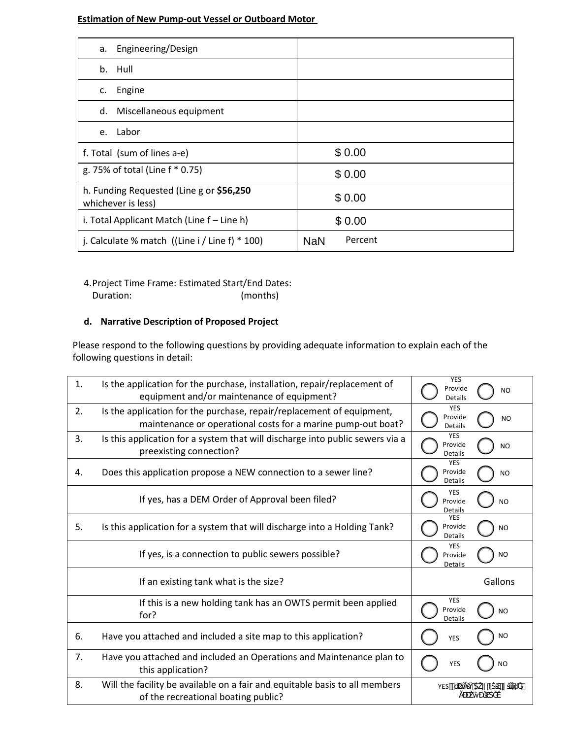#### **Estimation of New Pump‐out Vessel or Outboard Motor**

| Engineering/Design<br>а.                                       |                       |  |
|----------------------------------------------------------------|-----------------------|--|
| b. Hull                                                        |                       |  |
| Engine<br>C.                                                   |                       |  |
| Miscellaneous equipment<br>d.                                  |                       |  |
| Labor<br>e.                                                    |                       |  |
| f. Total (sum of lines a-e)                                    | \$0.00                |  |
| g. 75% of total (Line f * 0.75)                                | \$0.00                |  |
| h. Funding Requested (Line g or \$56,250<br>whichever is less) | \$0.00                |  |
| i. Total Applicant Match (Line f – Line h)                     | \$0.00                |  |
| j. Calculate % match $((Line i / Line f) * 100)$               | Percent<br><b>NaN</b> |  |

4.Project Time Frame: Estimated Start/End Dates: Duration: (months)

### **d. Narrative Description of Proposed Project**

Please respond to the following questions by providing adequate information to explain each of the following questions in detail:

| $\mathbf{1}$ . | Is the application for the purchase, installation, repair/replacement of<br>equipment and/or maintenance of equipment?                | <b>YES</b><br>Provide<br><b>NO</b><br><b>Details</b> |
|----------------|---------------------------------------------------------------------------------------------------------------------------------------|------------------------------------------------------|
| 2.             | Is the application for the purchase, repair/replacement of equipment,<br>maintenance or operational costs for a marine pump-out boat? | <b>YES</b><br>Provide<br><b>NO</b><br><b>Details</b> |
| 3.             | Is this application for a system that will discharge into public sewers via a<br>preexisting connection?                              | <b>YES</b><br>Provide<br><b>NO</b><br>Details        |
| 4.             | Does this application propose a NEW connection to a sewer line?                                                                       | <b>YES</b><br>Provide<br><b>NO</b><br>Details        |
|                | If yes, has a DEM Order of Approval been filed?                                                                                       | <b>YES</b><br>Provide<br><b>NO</b><br><b>Details</b> |
| 5.             | Is this application for a system that will discharge into a Holding Tank?                                                             | <b>YES</b><br>Provide<br><b>NO</b><br><b>Details</b> |
|                | If yes, is a connection to public sewers possible?                                                                                    | <b>YES</b><br><b>NO</b><br>Provide<br>Details        |
|                | If an existing tank what is the size?                                                                                                 | Gallons                                              |
|                | If this is a new holding tank has an OWTS permit been applied<br>for?                                                                 | <b>YES</b><br>Provide<br><b>NO</b><br><b>Details</b> |
| 6.             | Have you attached and included a site map to this application?                                                                        | <b>NO</b><br><b>YES</b>                              |
| 7.             | Have you attached and included an Operations and Maintenance plan to<br>this application?                                             | <b>NO</b><br>YES                                     |
| 8.             | Will the facility be available on a fair and equitable basis to all members<br>of the recreational boating public?                    | YES-                                                 |